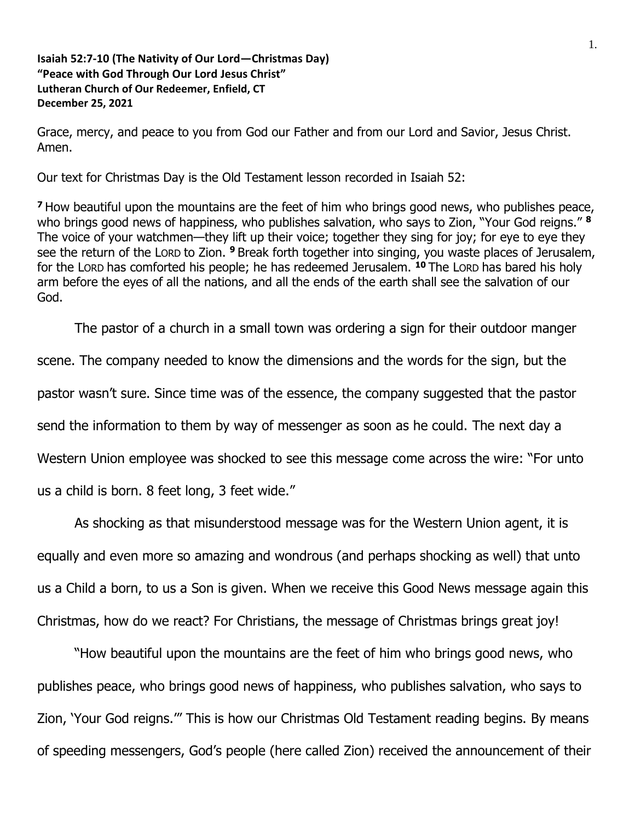**Isaiah 52:7-10 (The Nativity of Our Lord—Christmas Day) "Peace with God Through Our Lord Jesus Christ" Lutheran Church of Our Redeemer, Enfield, CT December 25, 2021**

Grace, mercy, and peace to you from God our Father and from our Lord and Savior, Jesus Christ. Amen.

Our text for Christmas Day is the Old Testament lesson recorded in Isaiah 52:

**<sup>7</sup>**How beautiful upon the mountains are the feet of him who brings good news, who publishes peace, who brings good news of happiness, who publishes salvation, who says to Zion, "Your God reigns." **<sup>8</sup>** The voice of your watchmen—they lift up their voice; together they sing for joy; for eye to eye they see the return of the LORD to Zion. **<sup>9</sup>** Break forth together into singing, you waste places of Jerusalem, for the LORD has comforted his people; he has redeemed Jerusalem. **<sup>10</sup>** The LORD has bared his holy arm before the eyes of all the nations, and all the ends of the earth shall see the salvation of our God.

The pastor of a church in a small town was ordering a sign for their outdoor manger

scene. The company needed to know the dimensions and the words for the sign, but the

pastor wasn't sure. Since time was of the essence, the company suggested that the pastor

send the information to them by way of messenger as soon as he could. The next day a

Western Union employee was shocked to see this message come across the wire: "For unto

us a child is born. 8 feet long, 3 feet wide."

As shocking as that misunderstood message was for the Western Union agent, it is equally and even more so amazing and wondrous (and perhaps shocking as well) that unto us a Child a born, to us a Son is given. When we receive this Good News message again this Christmas, how do we react? For Christians, the message of Christmas brings great joy!

"How beautiful upon the mountains are the feet of him who brings good news, who publishes peace, who brings good news of happiness, who publishes salvation, who says to Zion, 'Your God reigns.'" This is how our Christmas Old Testament reading begins. By means of speeding messengers, God's people (here called Zion) received the announcement of their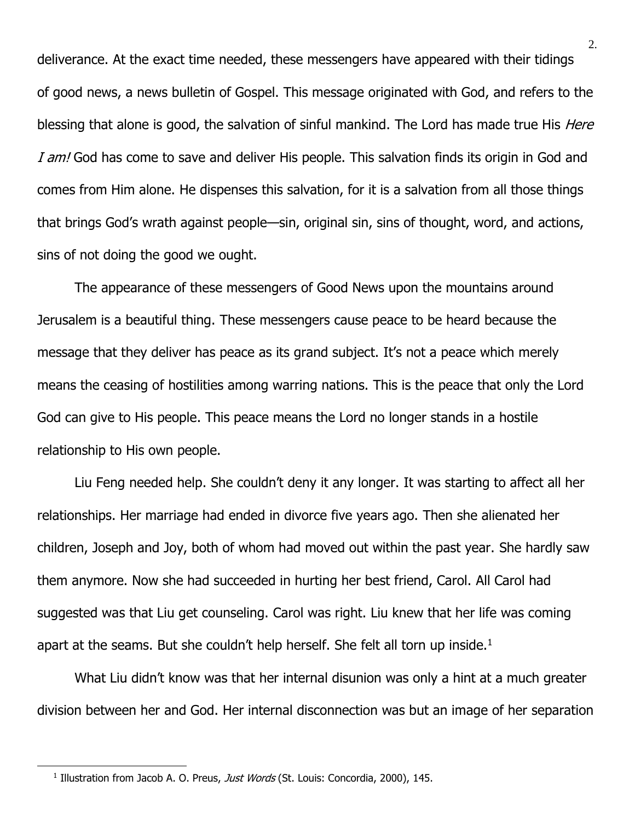deliverance. At the exact time needed, these messengers have appeared with their tidings of good news, a news bulletin of Gospel. This message originated with God, and refers to the blessing that alone is good, the salvation of sinful mankind. The Lord has made true His *Here* I am! God has come to save and deliver His people. This salvation finds its origin in God and comes from Him alone. He dispenses this salvation, for it is a salvation from all those things that brings God's wrath against people—sin, original sin, sins of thought, word, and actions, sins of not doing the good we ought.

The appearance of these messengers of Good News upon the mountains around Jerusalem is a beautiful thing. These messengers cause peace to be heard because the message that they deliver has peace as its grand subject. It's not a peace which merely means the ceasing of hostilities among warring nations. This is the peace that only the Lord God can give to His people. This peace means the Lord no longer stands in a hostile relationship to His own people.

Liu Feng needed help. She couldn't deny it any longer. It was starting to affect all her relationships. Her marriage had ended in divorce five years ago. Then she alienated her children, Joseph and Joy, both of whom had moved out within the past year. She hardly saw them anymore. Now she had succeeded in hurting her best friend, Carol. All Carol had suggested was that Liu get counseling. Carol was right. Liu knew that her life was coming apart at the seams. But she couldn't help herself. She felt all torn up inside.<sup>1</sup>

What Liu didn't know was that her internal disunion was only a hint at a much greater division between her and God. Her internal disconnection was but an image of her separation

<sup>&</sup>lt;sup>1</sup> Illustration from Jacob A. O. Preus, Just Words (St. Louis: Concordia, 2000), 145.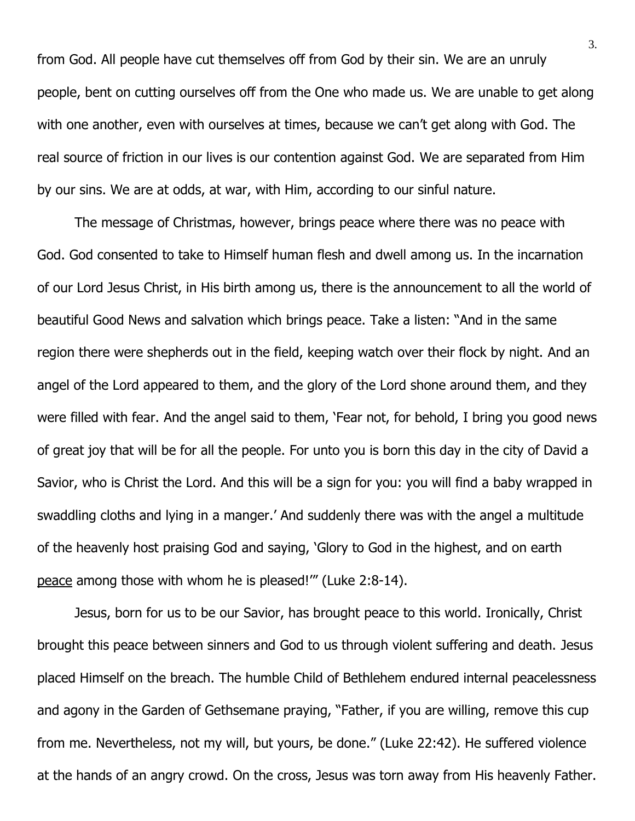from God. All people have cut themselves off from God by their sin. We are an unruly people, bent on cutting ourselves off from the One who made us. We are unable to get along with one another, even with ourselves at times, because we can't get along with God. The real source of friction in our lives is our contention against God. We are separated from Him by our sins. We are at odds, at war, with Him, according to our sinful nature.

The message of Christmas, however, brings peace where there was no peace with God. God consented to take to Himself human flesh and dwell among us. In the incarnation of our Lord Jesus Christ, in His birth among us, there is the announcement to all the world of beautiful Good News and salvation which brings peace. Take a listen: "And in the same region there were shepherds out in the field, keeping watch over their flock by night. And an angel of the Lord appeared to them, and the glory of the Lord shone around them, and they were filled with fear. And the angel said to them, 'Fear not, for behold, I bring you good news of great joy that will be for all the people. For unto you is born this day in the city of David a Savior, who is Christ the Lord. And this will be a sign for you: you will find a baby wrapped in swaddling cloths and lying in a manger.' And suddenly there was with the angel a multitude of the heavenly host praising God and saying, 'Glory to God in the highest, and on earth peace among those with whom he is pleased!'" (Luke 2:8-14).

Jesus, born for us to be our Savior, has brought peace to this world. Ironically, Christ brought this peace between sinners and God to us through violent suffering and death. Jesus placed Himself on the breach. The humble Child of Bethlehem endured internal peacelessness and agony in the Garden of Gethsemane praying, "Father, if you are willing, remove this cup from me. Nevertheless, not my will, but yours, be done." (Luke 22:42). He suffered violence at the hands of an angry crowd. On the cross, Jesus was torn away from His heavenly Father.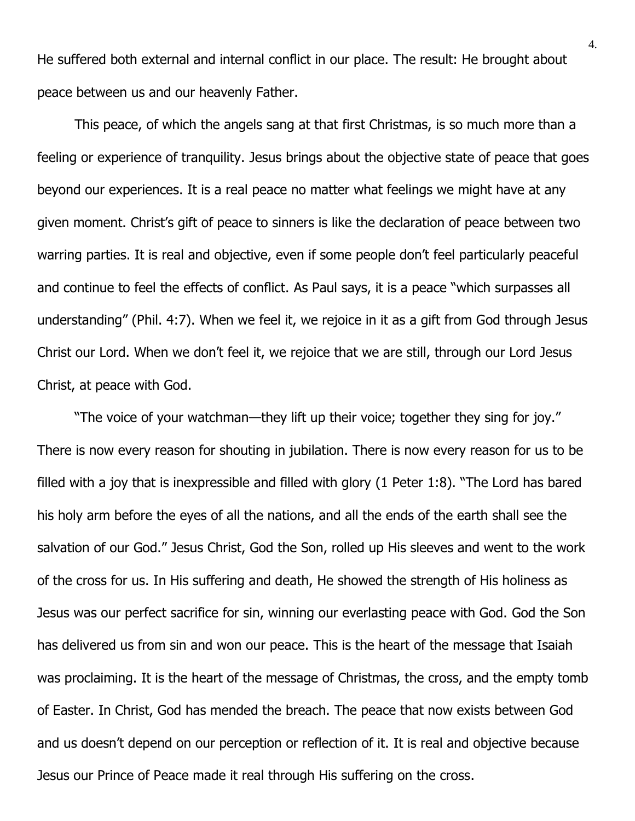He suffered both external and internal conflict in our place. The result: He brought about peace between us and our heavenly Father.

This peace, of which the angels sang at that first Christmas, is so much more than a feeling or experience of tranquility. Jesus brings about the objective state of peace that goes beyond our experiences. It is a real peace no matter what feelings we might have at any given moment. Christ's gift of peace to sinners is like the declaration of peace between two warring parties. It is real and objective, even if some people don't feel particularly peaceful and continue to feel the effects of conflict. As Paul says, it is a peace "which surpasses all understanding" (Phil. 4:7). When we feel it, we rejoice in it as a gift from God through Jesus Christ our Lord. When we don't feel it, we rejoice that we are still, through our Lord Jesus Christ, at peace with God.

"The voice of your watchman—they lift up their voice; together they sing for joy." There is now every reason for shouting in jubilation. There is now every reason for us to be filled with a joy that is inexpressible and filled with glory (1 Peter 1:8). "The Lord has bared his holy arm before the eyes of all the nations, and all the ends of the earth shall see the salvation of our God." Jesus Christ, God the Son, rolled up His sleeves and went to the work of the cross for us. In His suffering and death, He showed the strength of His holiness as Jesus was our perfect sacrifice for sin, winning our everlasting peace with God. God the Son has delivered us from sin and won our peace. This is the heart of the message that Isaiah was proclaiming. It is the heart of the message of Christmas, the cross, and the empty tomb of Easter. In Christ, God has mended the breach. The peace that now exists between God and us doesn't depend on our perception or reflection of it. It is real and objective because Jesus our Prince of Peace made it real through His suffering on the cross.